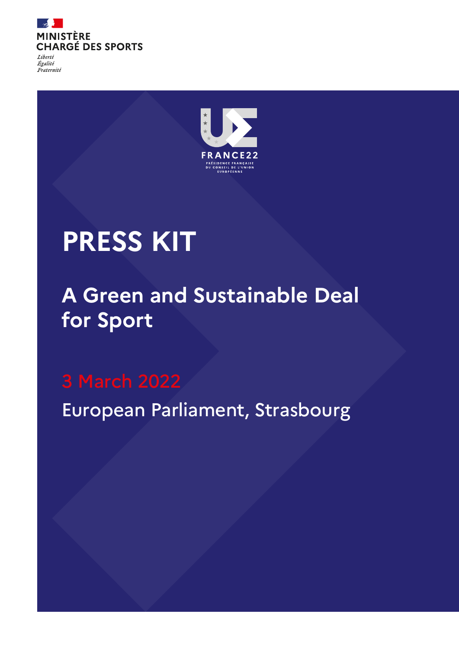

Égalité Fraternité



# **PRESS KIT**

## **A Green and Sustainable Deal for Sport**

European Parliament, Strasbourg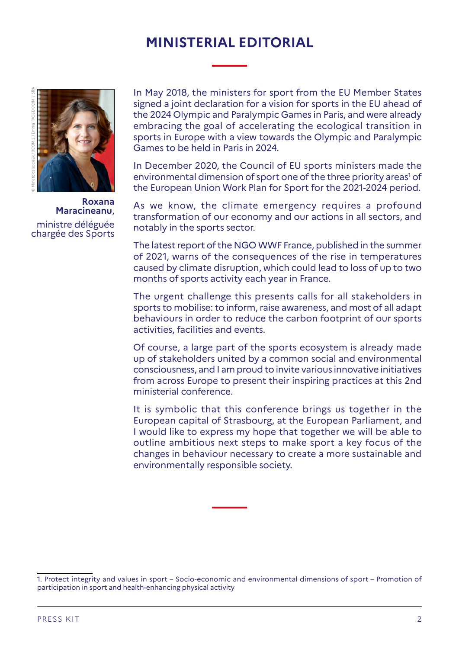## **MINISTERIAL EDITORIAL**



**Roxana Maracineanu**, ministre déléguée chargée des Sports

In May 2018, the ministers for sport from the EU Member States signed a joint declaration for a vision for sports in the EU ahead of the 2024 Olympic and Paralympic Games in Paris, and were already embracing the goal of accelerating the ecological transition in sports in Europe with a view towards the Olympic and Paralympic Games to be held in Paris in 2024.

In December 2020, the Council of EU sports ministers made the environmental dimension of sport one of the three priority areas<sup>1</sup> of the European Union Work Plan for Sport for the 2021-2024 period.

As we know, the climate emergency requires a profound transformation of our economy and our actions in all sectors, and notably in the sports sector.

The latest report of the NGO WWF France, published in the summer of 2021, warns of the consequences of the rise in temperatures caused by climate disruption, which could lead to loss of up to two months of sports activity each year in France.

The urgent challenge this presents calls for all stakeholders in sports to mobilise: to inform, raise awareness, and most of all adapt behaviours in order to reduce the carbon footprint of our sports activities, facilities and events.

Of course, a large part of the sports ecosystem is already made up of stakeholders united by a common social and environmental consciousness, and I am proud to invite various innovative initiatives from across Europe to present their inspiring practices at this 2nd ministerial conference.

It is symbolic that this conference brings us together in the European capital of Strasbourg, at the European Parliament, and I would like to express my hope that together we will be able to outline ambitious next steps to make sport a key focus of the changes in behaviour necessary to create a more sustainable and environmentally responsible society.

<sup>1.</sup> Protect integrity and values in sport – Socio-economic and environmental dimensions of sport – Promotion of participation in sport and health-enhancing physical activity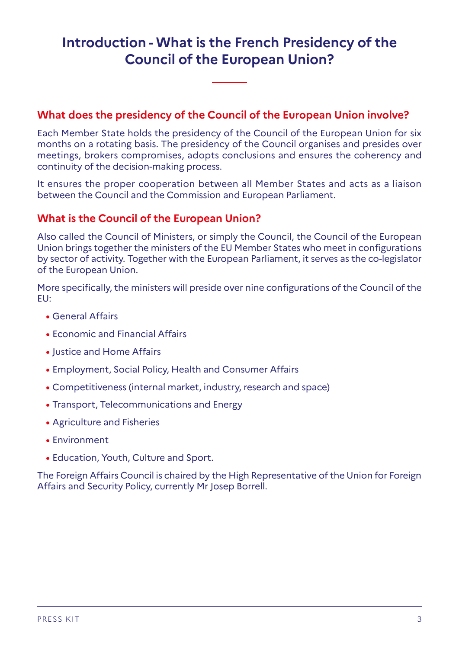## **Introduction - What is the French Presidency of the Council of the European Union?**

### **What does the presidency of the Council of the European Union involve?**

Each Member State holds the presidency of the Council of the European Union for six months on a rotating basis. The presidency of the Council organises and presides over meetings, brokers compromises, adopts conclusions and ensures the coherency and continuity of the decision-making process.

It ensures the proper cooperation between all Member States and acts as a liaison between the Council and the Commission and European Parliament.

#### **What is the Council of the European Union?**

Also called the Council of Ministers, or simply the Council, the Council of the European Union brings together the ministers of the EU Member States who meet in configurations by sector of activity. Together with the European Parliament, it serves as the co-legislator of the European Union.

More specifically, the ministers will preside over nine configurations of the Council of the EU:

- **•** General Affairs
- **•** Economic and Financial Affairs
- **•** Justice and Home Affairs
- **•** Employment, Social Policy, Health and Consumer Affairs
- **•** Competitiveness (internal market, industry, research and space)
- **•** Transport, Telecommunications and Energy
- **•** Agriculture and Fisheries
- **•** Environment
- **•** Education, Youth, Culture and Sport.

The Foreign Affairs Council is chaired by the High Representative of the Union for Foreign Affairs and Security Policy, currently Mr Josep Borrell.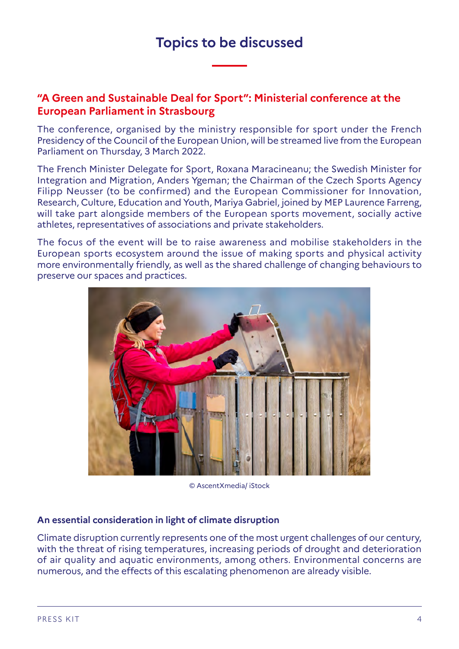## **Topics to be discussed**

#### **"A Green and Sustainable Deal for Sport": Ministerial conference at the European Parliament in Strasbourg**

The conference, organised by the ministry responsible for sport under the French Presidency of the Council of the European Union, will be streamed live from the European Parliament on Thursday, 3 March 2022.

The French Minister Delegate for Sport, Roxana Maracineanu; the Swedish Minister for Integration and Migration, Anders Ygeman; the Chairman of the Czech Sports Agency Filipp Neusser (to be confirmed) and the European Commissioner for Innovation, Research, Culture, Education and Youth, Mariya Gabriel, joined by MEP Laurence Farreng, will take part alongside members of the European sports movement, socially active athletes, representatives of associations and private stakeholders.

The focus of the event will be to raise awareness and mobilise stakeholders in the European sports ecosystem around the issue of making sports and physical activity more environmentally friendly, as well as the shared challenge of changing behaviours to preserve our spaces and practices.



© AscentXmedia/ iStock

#### **An essential consideration in light of climate disruption**

Climate disruption currently represents one of the most urgent challenges of our century, with the threat of rising temperatures, increasing periods of drought and deterioration of air quality and aquatic environments, among others. Environmental concerns are numerous, and the effects of this escalating phenomenon are already visible.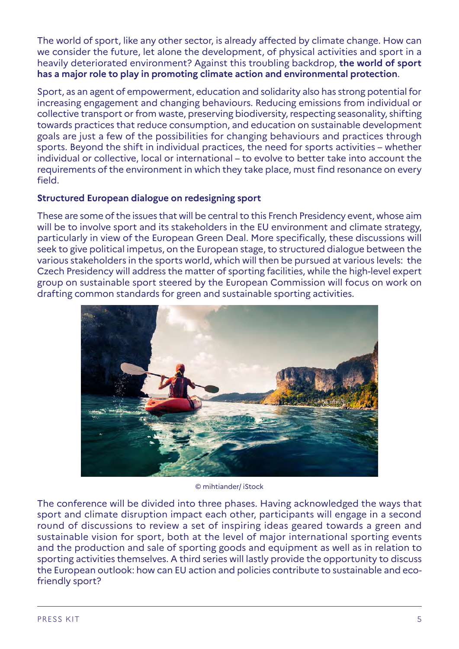The world of sport, like any other sector, is already affected by climate change. How can we consider the future, let alone the development, of physical activities and sport in a heavily deteriorated environment? Against this troubling backdrop, **the world of sport has a major role to play in promoting climate action and environmental protection**.

Sport, as an agent of empowerment, education and solidarity also has strong potential for increasing engagement and changing behaviours. Reducing emissions from individual or collective transport or from waste, preserving biodiversity, respecting seasonality, shifting towards practices that reduce consumption, and education on sustainable development goals are just a few of the possibilities for changing behaviours and practices through sports. Beyond the shift in individual practices, the need for sports activities – whether individual or collective, local or international – to evolve to better take into account the requirements of the environment in which they take place, must find resonance on every field.

#### **Structured European dialogue on redesigning sport**

These are some of the issues that will be central to this French Presidency event, whose aim will be to involve sport and its stakeholders in the EU environment and climate strategy, particularly in view of the European Green Deal. More specifically, these discussions will seek to give political impetus, on the European stage, to structured dialogue between the various stakeholders in the sports world, which will then be pursued at various levels: the Czech Presidency will address the matter of sporting facilities, while the high-level expert group on sustainable sport steered by the European Commission will focus on work on drafting common standards for green and sustainable sporting activities.



© mihtiander/ iStock

The conference will be divided into three phases. Having acknowledged the ways that sport and climate disruption impact each other, participants will engage in a second round of discussions to review a set of inspiring ideas geared towards a green and sustainable vision for sport, both at the level of major international sporting events and the production and sale of sporting goods and equipment as well as in relation to sporting activities themselves. A third series will lastly provide the opportunity to discuss the European outlook: how can EU action and policies contribute to sustainable and ecofriendly sport?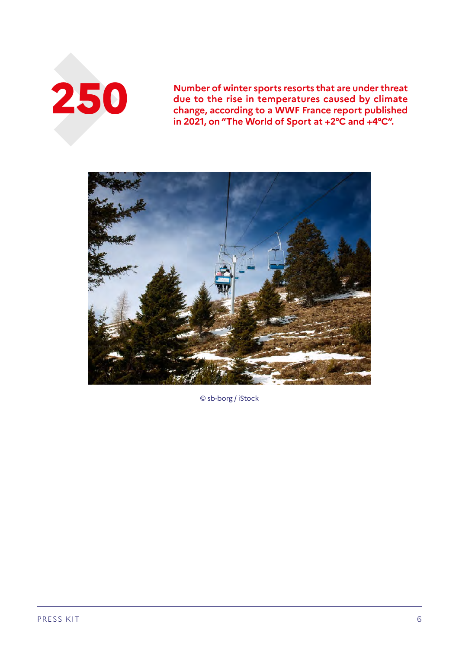

**2500 • 2013 • 2021 on "The World of Sport at +2°C and +4°C" due to the rise in temperatures caused by climate change, according to a WWF France report published in 2021, on "The World of Sport at +2°C and +4°C".**



© sb-borg / iStock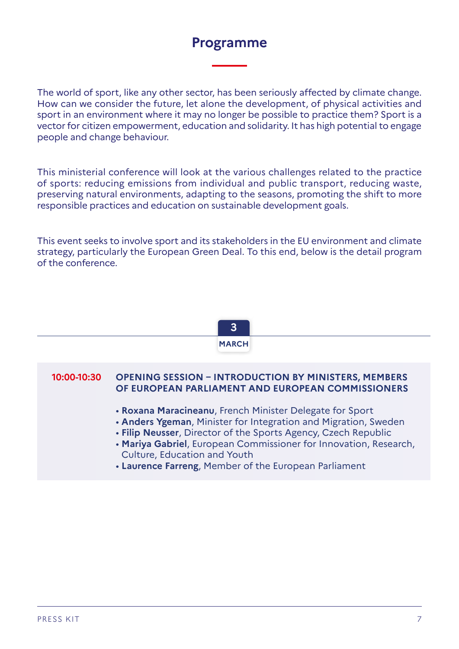## **Programme**

The world of sport, like any other sector, has been seriously affected by climate change. How can we consider the future, let alone the development, of physical activities and sport in an environment where it may no longer be possible to practice them? Sport is a vector for citizen empowerment, education and solidarity. It has high potential to engage people and change behaviour.

This ministerial conference will look at the various challenges related to the practice of sports: reducing emissions from individual and public transport, reducing waste, preserving natural environments, adapting to the seasons, promoting the shift to more responsible practices and education on sustainable development goals.

This event seeks to involve sport and its stakeholders in the EU environment and climate strategy, particularly the European Green Deal. To this end, below is the detail program of the conference.



#### **10:00-10:30 OPENING SESSION – INTRODUCTION BY MINISTERS, MEMBERS OF EUROPEAN PARLIAMENT AND EUROPEAN COMMISSIONERS**

- **Roxana Maracineanu**, French Minister Delegate for Sport
- **Anders Ygeman**, Minister for Integration and Migration, Sweden
- **Filip Neusser**, Director of the Sports Agency, Czech Republic
- **Mariya Gabriel**, European Commissioner for Innovation, Research, Culture, Education and Youth
- **Laurence Farreng**, Member of the European Parliament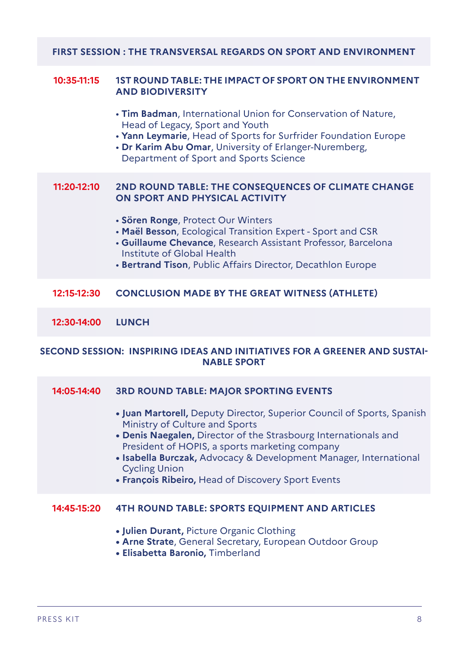#### **FIRST SESSION : THE TRANSVERSAL REGARDS ON SPORT AND ENVIRONMENT**

#### **10:35-11:15 1ST ROUND TABLE: THE IMPACT OF SPORT ON THE ENVIRONMENT AND BIODIVERSITY**

- **Tim Badman**, International Union for Conservation of Nature, Head of Legacy, Sport and Youth
- **Yann Leymarie**, Head of Sports for Surfrider Foundation Europe
- **Dr Karim Abu Omar**, University of Erlanger-Nuremberg, Department of Sport and Sports Science

#### **11:20-12:10 2ND ROUND TABLE: THE CONSEQUENCES OF CLIMATE CHANGE ON SPORT AND PHYSICAL ACTIVITY**

- **Sören Ronge**, Protect Our Winters
- **Maël Besson**, Ecological Transition Expert Sport and CSR
- **Guillaume Chevance**, Research Assistant Professor, Barcelona Institute of Global Health
- **Bertrand Tison**, Public Affairs Director, Decathlon Europe

#### **12:15-12:30 CONCLUSION MADE BY THE GREAT WITNESS (ATHLETE)**

**12:30-14:00 LUNCH**

#### **SECOND SESSION: INSPIRING IDEAS AND INITIATIVES FOR A GREENER AND SUSTAI-NABLE SPORT**

#### **14:05-14:40 3RD ROUND TABLE: MAJOR SPORTING EVENTS**

- **Juan Martorell,** Deputy Director, Superior Council of Sports, Spanish Ministry of Culture and Sports
- **Denis Naegalen,** Director of the Strasbourg Internationals and President of HOPIS, a sports marketing company
- **Isabella Burczak,** Advocacy & Development Manager, International Cycling Union
- **François Ribeiro,** Head of Discovery Sport Events

#### **14:45-15:20 4TH ROUND TABLE: SPORTS EQUIPMENT AND ARTICLES**

- **Julien Durant,** Picture Organic Clothing
- **Arne Strate**, General Secretary, European Outdoor Group
- **Elisabetta Baronio,** Timberland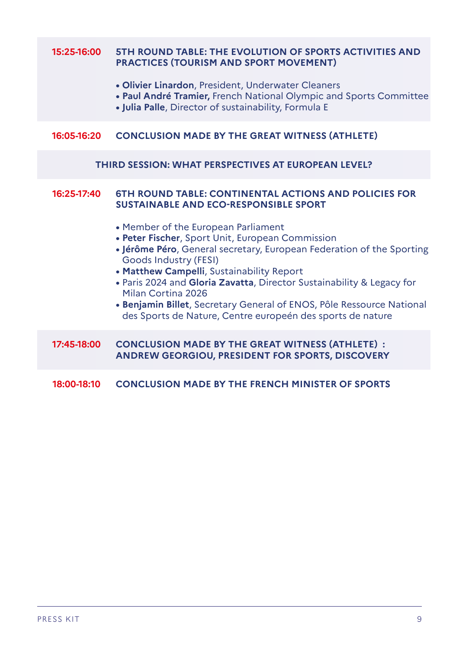#### **15:25-16:00 5TH ROUND TABLE: THE EVOLUTION OF SPORTS ACTIVITIES AND PRACTICES (TOURISM AND SPORT MOVEMENT)**

- **Olivier Linardon**, President, Underwater Cleaners
- **Paul André Tramier,** French National Olympic and Sports Committee
- **Julia Palle**, Director of sustainability, Formula E

#### **16:05-16:20 CONCLUSION MADE BY THE GREAT WITNESS (ATHLETE)**

#### **THIRD SESSION: WHAT PERSPECTIVES AT EUROPEAN LEVEL?**

#### **16:25-17:40 6TH ROUND TABLE: CONTINENTAL ACTIONS AND POLICIES FOR SUSTAINABLE AND ECO-RESPONSIBLE SPORT**

- Member of the European Parliament
- **Peter Fischer**, Sport Unit, European Commission
- **Jérôme Péro**, General secretary, European Federation of the Sporting Goods Industry (FESI)
- **Matthew Campelli**, Sustainability Report
- Paris 2024 and **Gloria Zavatta**, Director Sustainability & Legacy for Milan Cortina 2026
- **Benjamin Billet**, Secretary General of ENOS, Pôle Ressource National des Sports de Nature, Centre europeén des sports de nature

#### **17:45-18:00 CONCLUSION MADE BY THE GREAT WITNESS (ATHLETE) : ANDREW GEORGIOU, PRESIDENT FOR SPORTS, DISCOVERY**

#### **18:00-18:10 CONCLUSION MADE BY THE FRENCH MINISTER OF SPORTS**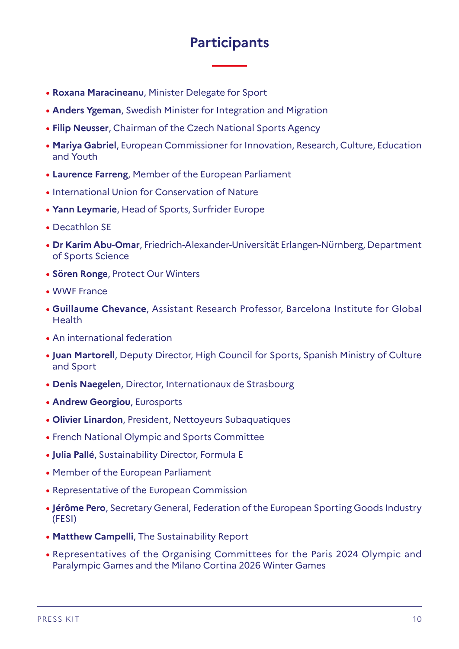## **Participants**

- **• Roxana Maracineanu**, Minister Delegate for Sport
- **• Anders Ygeman**, Swedish Minister for Integration and Migration
- **• Filip Neusser**, Chairman of the Czech National Sports Agency
- **• Mariya Gabriel**, European Commissioner for Innovation, Research, Culture, Education and Youth
- **• Laurence Farreng**, Member of the European Parliament
- **•** International Union for Conservation of Nature
- **• Yann Leymarie**, Head of Sports, Surfrider Europe
- **•** Decathlon SE
- **• Dr Karim Abu-Omar**, Friedrich-Alexander-Universität Erlangen-Nürnberg, Department of Sports Science
- **• Sören Ronge**, Protect Our Winters
- **•** WWF France
- **• Guillaume Chevance**, Assistant Research Professor, Barcelona Institute for Global Health
- **•** An international federation
- **• Juan Martorell**, Deputy Director, High Council for Sports, Spanish Ministry of Culture and Sport
- **• Denis Naegelen**, Director, Internationaux de Strasbourg
- **• Andrew Georgiou**, Eurosports
- **• Olivier Linardon**, President, Nettoyeurs Subaquatiques
- **•** French National Olympic and Sports Committee
- **• Julia Pallé**, Sustainability Director, Formula E
- **•** Member of the European Parliament
- **•** Representative of the European Commission
- **• Jérôme Pero**, Secretary General, Federation of the European Sporting Goods Industry (FESI)
- **• Matthew Campelli**, The Sustainability Report
- **•** Representatives of the Organising Committees for the Paris 2024 Olympic and Paralympic Games and the Milano Cortina 2026 Winter Games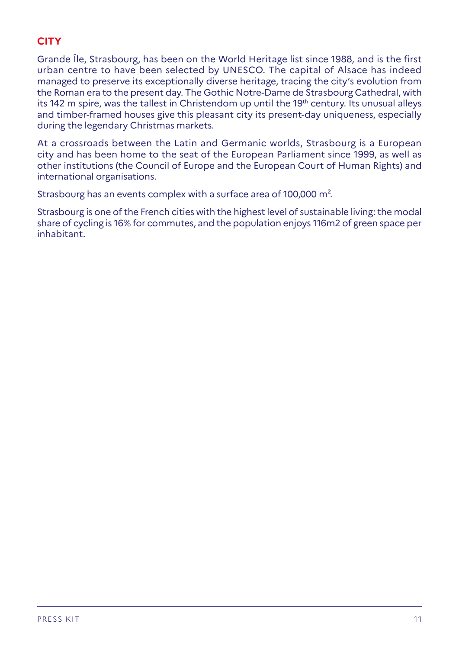### **CITY**

Grande Île, Strasbourg, has been on the World Heritage list since 1988, and is the first urban centre to have been selected by UNESCO. The capital of Alsace has indeed managed to preserve its exceptionally diverse heritage, tracing the city's evolution from the Roman era to the present day. The Gothic Notre-Dame de Strasbourg Cathedral, with its 142 m spire, was the tallest in Christendom up until the 19<sup>th</sup> century. Its unusual alleys and timber-framed houses give this pleasant city its present-day uniqueness, especially during the legendary Christmas markets.

At a crossroads between the Latin and Germanic worlds, Strasbourg is a European city and has been home to the seat of the European Parliament since 1999, as well as other institutions (the Council of Europe and the European Court of Human Rights) and international organisations.

Strasbourg has an events complex with a surface area of 100,000 m².

Strasbourg is one of the French cities with the highest level of sustainable living: the modal share of cycling is 16% for commutes, and the population enjoys 116m2 of green space per inhabitant.